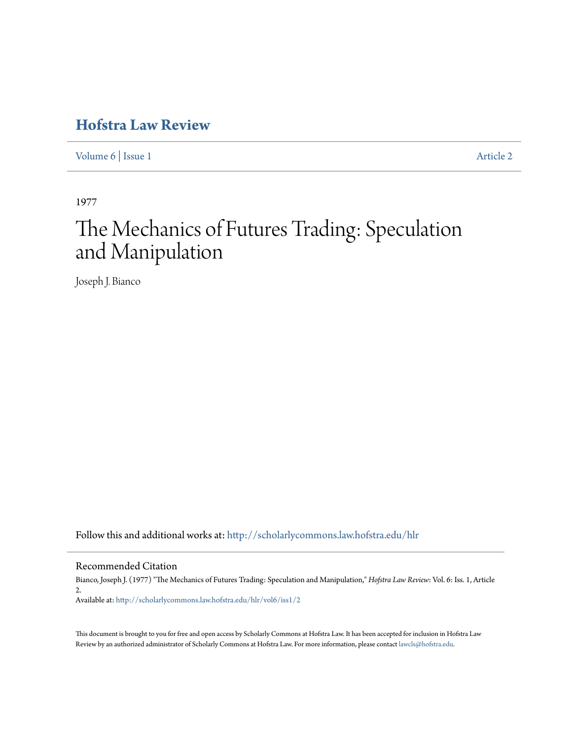## **[Hofstra Law Review](http://scholarlycommons.law.hofstra.edu/hlr?utm_source=scholarlycommons.law.hofstra.edu%2Fhlr%2Fvol6%2Fiss1%2F2&utm_medium=PDF&utm_campaign=PDFCoverPages)**

[Volume 6](http://scholarlycommons.law.hofstra.edu/hlr/vol6?utm_source=scholarlycommons.law.hofstra.edu%2Fhlr%2Fvol6%2Fiss1%2F2&utm_medium=PDF&utm_campaign=PDFCoverPages) | [Issue 1](http://scholarlycommons.law.hofstra.edu/hlr/vol6/iss1?utm_source=scholarlycommons.law.hofstra.edu%2Fhlr%2Fvol6%2Fiss1%2F2&utm_medium=PDF&utm_campaign=PDFCoverPages) [Article 2](http://scholarlycommons.law.hofstra.edu/hlr/vol6/iss1/2?utm_source=scholarlycommons.law.hofstra.edu%2Fhlr%2Fvol6%2Fiss1%2F2&utm_medium=PDF&utm_campaign=PDFCoverPages)

1977

# The Mechanics of Futures Trading: Speculation and Manipulation

Joseph J. Bianco

Follow this and additional works at: [http://scholarlycommons.law.hofstra.edu/hlr](http://scholarlycommons.law.hofstra.edu/hlr?utm_source=scholarlycommons.law.hofstra.edu%2Fhlr%2Fvol6%2Fiss1%2F2&utm_medium=PDF&utm_campaign=PDFCoverPages)

Recommended Citation

Bianco, Joseph J. (1977) "The Mechanics of Futures Trading: Speculation and Manipulation," *Hofstra Law Review*: Vol. 6: Iss. 1, Article 2. Available at: [http://scholarlycommons.law.hofstra.edu/hlr/vol6/iss1/2](http://scholarlycommons.law.hofstra.edu/hlr/vol6/iss1/2?utm_source=scholarlycommons.law.hofstra.edu%2Fhlr%2Fvol6%2Fiss1%2F2&utm_medium=PDF&utm_campaign=PDFCoverPages)

This document is brought to you for free and open access by Scholarly Commons at Hofstra Law. It has been accepted for inclusion in Hofstra Law Review by an authorized administrator of Scholarly Commons at Hofstra Law. For more information, please contact [lawcls@hofstra.edu](mailto:lawcls@hofstra.edu).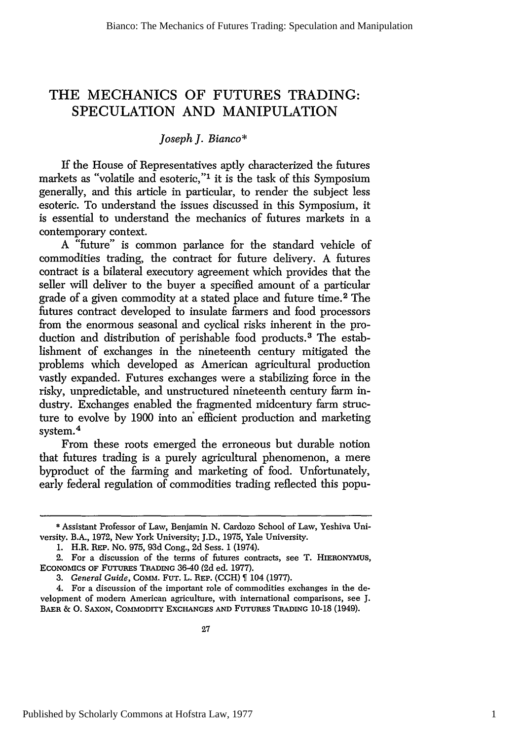### THE **MECHANICS** OF **FUTURES TRADING: SPECULATION AND MANIPULATION**

#### *Joseph J. Bianco\**

If the House of Representatives aptly characterized the futures markets as "volatile and esoteric,"1 it is the task of this Symposium generally, and this article in particular, to render the subject less esoteric. To understand the issues discussed in this Symposium, it is essential to understand the mechanics of futures markets in a contemporary context.

A "future" is common parlance for the standard vehicle of commodities trading, the contract for future delivery. A futures contract is a bilateral executory agreement which provides that the seller will deliver to the buyer a specified amount of a particular grade of a given commodity at a stated place and future time. 2 The futures contract developed to insulate farmers and food processors from the enormous seasonal and cyclical risks inherent in the production and distribution of perishable food products.<sup>3</sup> The establishment of exchanges in the nineteenth century mitigated the problems which developed as American agricultural production vastly expanded. Futures exchanges were a stabilizing force in the risky, unpredictable, and unstructured nineteenth century farm industry. Exchanges enabled the fragmented midcentury farm structure to evolve by 1900 into an efficient production and marketing system. $4$ 

From these roots emerged the erroneous but durable notion that futures trading is a purely agricultural phenomenon, a mere byproduct of the farming and marketing of food. Unfortunately, early federal regulation of commodities trading reflected this popu-

<sup>\*</sup> Assistant Professor of Law, Benjamin N. Cardozo School of Law, Yeshiva University. B.A., 1972, New York University; J.D., 1975, Yale University.

<sup>1.</sup> H.R. **REP.** No. 975, 93d Cong., 2d Sess. 1 (1974).

<sup>2.</sup> For a discussion of the terms of futures contracts, see T. **HIERONYMUS, ECONOMICS** OF **FUTURES** TRADING 36-40 (2d ed. 1977).

*<sup>3.</sup> General Guide,* COMM. **FUT.** L. **REP.** (CCH) 104 (1977).

<sup>4.</sup> For a discussion of the important role of commodities exchanges in the development of modem American agriculture, with international comparisons, see J. BAER & **0. SAXON,** COMMODITY EXCHANGES **AND FUTURES TRADING** 10-18 (1949).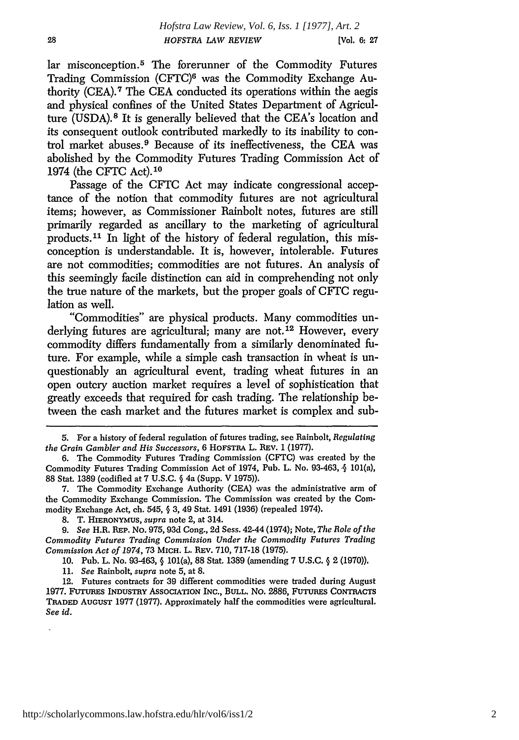lar misconception.<sup>5</sup> The forerunner of the Commodity Futures Trading Commission (CFTC)6 was the Commodity Exchange Authority (CEA).7 The CEA conducted its operations within the aegis and physical confines of the United States Department of Agriculture (USDA).8 It is generally believed that the CEA's location and its consequent outlook contributed markedly to its inability to control market abuses. 9 Because of its ineffectiveness, the CEA was abolished by the Commodity Futures Trading Commission Act of 1974 (the CFTC Act).10

Passage of the CFTC Act may indicate congressional acceptance of the notion that commodity futures are not agricultural items; however, as Commissioner Rainbolt notes, futures are still primarily regarded as ancillary to the marketing of agricultural products.<sup>11</sup> In light of the history of federal regulation, this misconception is understandable. It is, however, intolerable. Futures are not commodities; commodities are not futures. An analysis of this seemingly facile distinction can aid in comprehending not only the true nature of the markets, but the proper goals of CFIC regulation as well.

"Commodities" are physical products. Many commodities underlying futures are agricultural; many are not.<sup>12</sup> However, every commodity differs fundamentally from a similarly denominated future. For example, while a simple cash transaction in wheat is unquestionably an agricultural event, trading wheat futures in an open outcry auction market requires a level of sophistication that greatly exceeds that required for cash trading. The relationship between the cash market and the futures market is complex and sub-

10. Pub. L. No. 93-463, § 101(a), 88 Stat. 1389 (amending 7 U.S.C. § 2 (1970)).

11. *See* Rainbolt, *supra* note 5, at 8.

12. Futures contracts for 39 different commodities were traded during August **1977. FUTURES INDUSTRY ASSOCIATION** INC., **BULL.** No. **2886, FUTURES** CONTRACTS TRADED **AUGUST** 1977 (1977). Approximately half the commodities were agricultural. *See id.*

<sup>5.</sup> For a history of federal regulation of futures trading, see Rainbolt, *Regulating the Grain Gambler and His Successors,* 6 HOFSTRA L. REv. 1 (1977).

<sup>6.</sup> The Commodity Futures Trading Commission (CFTC) was created by the Commodity Futures Trading Commission Act of 1974, Pub. L. No. 93-463, **j** 101(a), 88 Stat. 1389 (codified at 7 U.S.C. **§** 4a (Supp. V 1975)).

<sup>7.</sup> The Commodity Exchange Authority (CEA) was the administrative arm of the Commodity Exchange Commission. The Commission was created by the Commodity Exchange Act, ch. 545, § 3, 49 Stat. 1491 (1936) (repealed 1974).

<sup>8.</sup> T. **HIERONYMUS,** *supra* note 2, at 314.

*<sup>9.</sup> See* H.R. **REP.** No. 975, 93d Cong., 2d Sess. 42-44 (1974); Note, *The Role of the Commodity Futures Trading Commission Under the Commodity Futures Trading Commission Act of 1974,* 73 MICH. L. REv. 710, 717-18 (1975).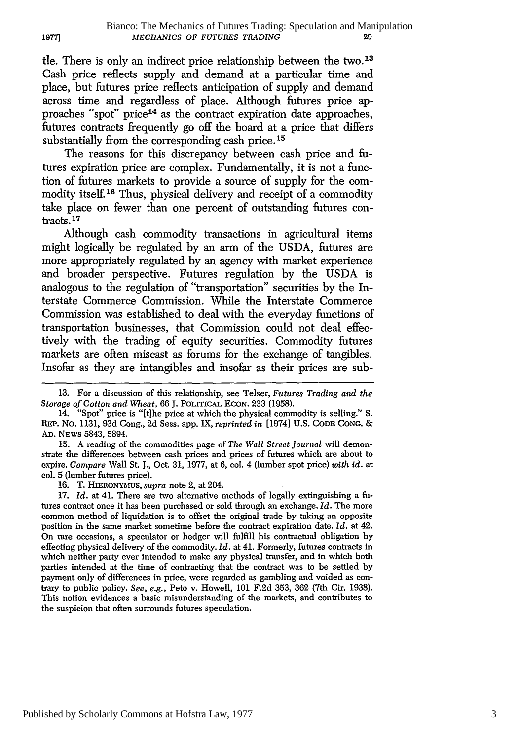tle. There is only an indirect price relationship between the two.<sup>13</sup> Cash price reflects supply and demand at a particular time and place, but futures price reflects anticipation of supply and demand across time and regardless of place. Although futures price approaches "spot" price<sup>14</sup> as the contract expiration date approaches, futures contracts frequently go off the board at a price that differs substantially from the corresponding cash price. **15**

The reasons for this discrepancy between cash price and futures expiration price are complex. Fundamentally, it is not a function of futures markets to provide a source of supply for the commodity itself.<sup>16</sup> Thus, physical delivery and receipt of a commodity take place on fewer than one percent of outstanding futures contracts. **17**

Although cash commodity transactions in agricultural items might logically be regulated by an arm of the USDA, futures are more appropriately regulated by an agency with market experience and broader perspective. Futures regulation by the USDA is analogous to the regulation of "transportation" securities by the Interstate Commerce Commission. While the Interstate Commerce Commission was established to deal with the everyday functions of transportation businesses, that Commission could not deal effectively with the trading of equity securities. Commodity futures markets are often miscast as forums for the exchange of tangibles. Insofar as they are intangibles and insofar as their prices are sub-

15. A reading of the commodities page of *The Wall Street Journal* will demonstrate the differences between cash prices and prices of futures which are about to expire. *Compare* Wall St. J., Oct. **31,** 1977, at 6, col. 4 (lumber spot price) *with id.* at col. 5 (lumber futures price).

16. T. **HIERONYMUS,** *supra* note 2, at 204.

17. *Id.* at 41. There are two alternative methods of legally extinguishing a futures contract once it has been purchased or sold through an exchange. *Id.* The more common method of liquidation is to offset the original trade by taking an opposite position in the same market sometime before the contract expiration date. *Id.* at 42. On rare occasions, a speculator or hedger will fulfill his contractual obligation by effecting physical delivery of the commodity. *Id.* at 41. Formerly, futures contracts in which neither party ever intended to make any physical transfer, and in which both parties intended at the time of contracting that the contract was to be settled by payment only of differences in price, were regarded as gambling and voided as contrary to public policy. *See,* e.g., Peto v. Howell, 101 F.2d 353, 362 (7th Cir. 1938). This notion evidences a basic misunderstanding of the markets, and contributes to the suspicion that often surrounds futures speculation.

**19771**

<sup>13.</sup> For a discussion of this relationship, see Telser, *Futures Trading and the Storage of Cotton and Wheat,* 66 **J. POLITICAL ECON.** 233 (1958).

<sup>14. &</sup>quot;Spot" price is "[t]he price at which the physical commodity is selling." S. REP. No. 1131, 93d Cong., 2d Sess. app. IX, *reprinted in* [1974] U.S. **CODE CONG.** & **AD.** NEWS 5843, 5894.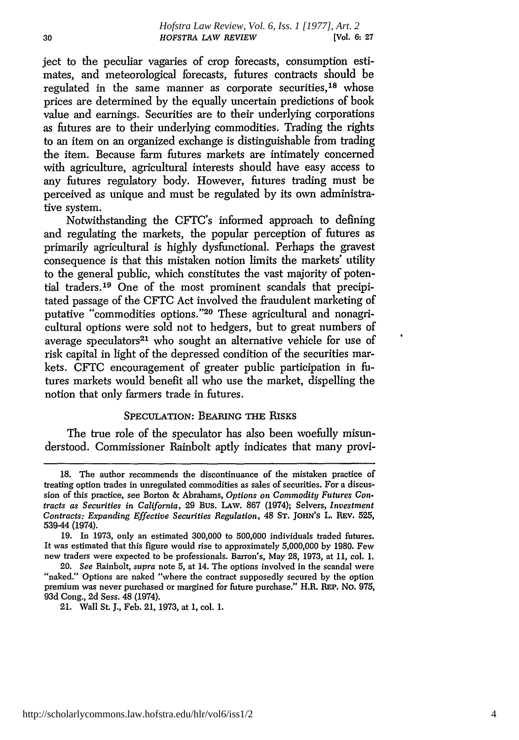ject to the peculiar vagaries of crop forecasts, consumption estimates, and meteorological forecasts, futures contracts should be regulated in the same manner as corporate securities,18 whose prices are determined by the equally uncertain predictions of book value and earnings. Securities are to their underlying corporations as futures are to their underlying commodities. Trading the rights to an item on an organized exchange is distinguishable from trading the item. Because farm futures markets are intimately concerned with agriculture, agricultural interests should have easy access to any futures regulatory body. However, futures trading must be perceived as unique and must be regulated by its own administrative system.

Notwithstanding the CFTC's informed approach to defining and regulating the markets, the popular perception of futures as primarily agricultural is highly dysfunctional. Perhaps the gravest consequence is that this mistaken notion limits the markets' utility to the general public, which constitutes the vast majority of potential traders. 19 One of the most prominent scandals that precipitated passage of the CFTC Act involved the fraudulent marketing of putative "commodities options."20 These agricultural and nonagricultural options were sold not to hedgers, but to great numbers of average speculators<sup>21</sup> who sought an alternative vehicle for use of risk capital in light of the depressed condition of the securities markets. CFTC encouragement of greater public participation in futures markets would benefit all who use the market, dispelling the notion that only farmers trade in futures.

#### SPECULATION: BEARING THE **RISKS**

The true role of the speculator has also been woefully misunderstood. Commissioner Rainbolt aptly indicates that many provi-

<sup>18.</sup> The author recommends the discontinuance of the mistaken practice of treating option trades in unregulated commodities as sales of securities. For a discussion of this practice, see Borton & Abrahams, *Options on Commodity Futures Contracts as Securities in California,* 29 Bus. LAw. 867 (1974); Selvers, *Investment Contracts: Expanding Effective Securities Regulation,* 48 **ST.** JOHN'S L. REV. **525,** 539-44 (1974).

<sup>19.</sup> In 1973, only an estimated 300,000 to 500,000 individuals traded futures. It was estimated that this figure would rise to approximately 5,000,000 by 1980. Few new traders were expected to be professionals. Barron's, May 28, 1973, at 11, col. **1.**

<sup>20.</sup> *See* Rainbolt, *supra* note **5,** at 14. The options involved in the scandal were "naked." Options are naked "where the contract supposedly secured by the option premium was never purchased or margined for future purchase." H.R. REP. No. 975, 93d Cong., 2d Sess. 48 (1974).

<sup>21.</sup> Wall St. J., Feb. 21, 1973, at 1, col. 1.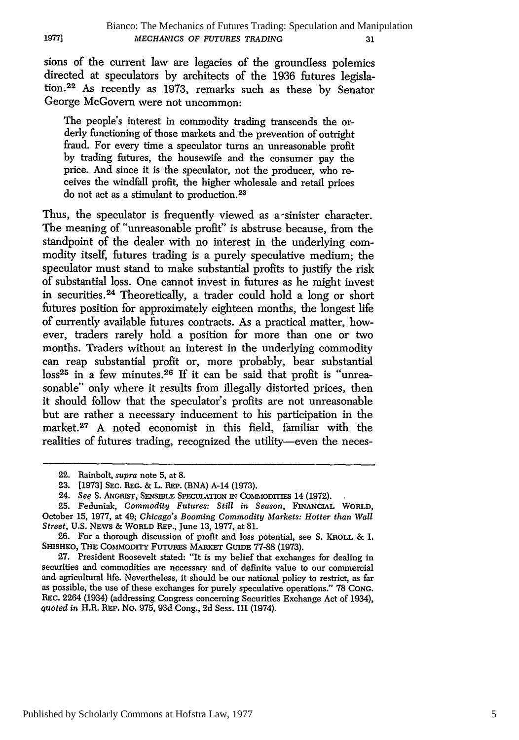sions of the current law are legacies of the groundless polemics directed at speculators by architects of the 1936 futures legislation.<sup>22</sup> As recently as 1973, remarks such as these by Senator George McGovern were not uncommon:

The people's interest in commodity trading transcends the orderly functioning of those markets and the prevention of outright fraud. For every time a speculator turns an unreasonable profit by trading futures, the housewife and the consumer pay the price. And since it is the speculator, not the producer, who receives the windfall profit, the higher wholesale and retail prices do not act as a stimulant to production.<sup>23</sup>

Thus, the speculator is frequently viewed as a-sinister character. The meaning of "unreasonable profit" is abstruse because, from the standpoint of the dealer with no interest in the underlying commodity itself, futures trading is a purely speculative medium; the speculator must stand to make substantial profits to justify the risk of substantial loss. One cannot invest in futures as he might invest in securities. 24 Theoretically, a trader could hold a long or short futures position for approximately eighteen months, the longest life of currently available futures contracts. As a practical matter, however, traders rarely hold a position for more than one or two months. Traders without an interest in the underlying commodity can reap substantial profit or, more probably, bear substantial  $loss^{25}$  in a few minutes.<sup>26</sup> If it can be said that profit is "unreasonable" only where it results from illegally distorted prices, then it should follow that the speculator's profits are not unreasonable but are rather a necessary inducement to his participation in the market.<sup>27</sup> A noted economist in this field, familiar with the realities of futures trading, recognized the utility-even the neces-

**1977]**

Published by Scholarly Commons at Hofstra Law, 1977

<sup>22.</sup> Rainbolt, supra note 5, at 8.

<sup>23. [1973]</sup> **SEc. REG.** & L. **REP. (BNA)** A-14 **(1973).**

<sup>24.</sup> See S. ANGRIST, SENSIBLE SPECULATION IN COMMODITIES 14 (1972).

<sup>25.</sup> Feduniak, *Commodity Futures: Still in Season,* FINANCIAL WORLD, October 15, 1977, at 49; *Chicago's Booming Commodity Markets: Hotter than Wall Street,* U.S. NEWS & WORLD REP., June 13, 1977, at 81.

<sup>26.</sup> For a thorough discussion of profit and loss potential, see S. KROLL **&** I. SHISHKO, THE COMMODITY FUTURES MARKET GUIDE 77-88 (1973).

<sup>27.</sup> President Roosevelt stated: "It is my belief that exchanges for dealing in securities and commodities are necessary and of definite value to our commercial and agricultural life. Nevertheless, it should be our national policy to restrict, as far as possible, the use of these exchanges for purely speculative operations." 78 CoNG. **REc.** 2264 (1934) (addressing Congress concerning Securities Exchange Act of 1934), *quoted in* H.R. REP. No. 975, 93d Cong., 2d Sess. III (1974).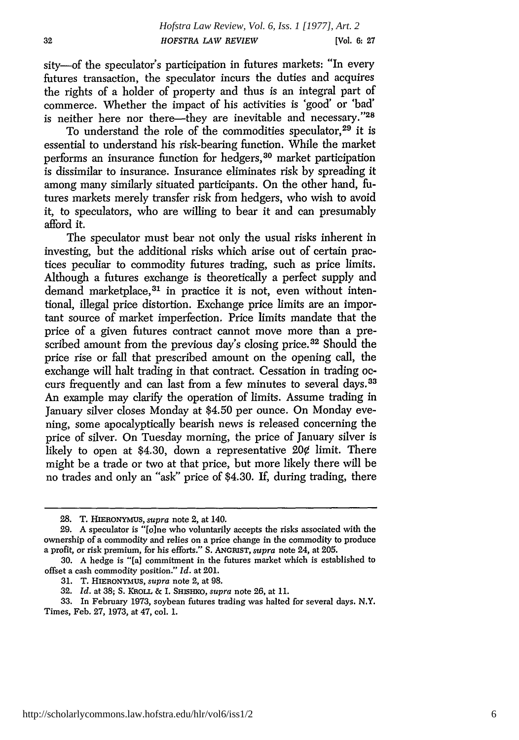sity-of the speculator's participation in futures markets: "In every futures transaction, the speculator incurs the duties and acquires the rights of a holder of property and thus is an integral part of commerce. Whether the impact of his activities is 'good' or 'bad' is neither here nor there-they are inevitable and necessary."28

To understand the role of the commodities speculator.<sup>29</sup> it is essential to understand his risk-bearing function. While the market performs an insurance function for hedgers, 30 market participation is dissimilar to insurance. Insurance eliminates risk by spreading it among many similarly situated participants. On the other hand, futures markets merely transfer risk from hedgers, who wish to avoid it, to speculators, who are willing to bear it and can presumably afford it.

The speculator must bear not only the usual risks inherent in investing, but the additional risks which arise out of certain practices peculiar to commodity futures trading, such as price limits. Although a futures exchange is theoretically a perfect supply and demand marketplace, <sup>31</sup> in practice it is not, even without intentional, illegal price distortion. Exchange price limits are an important source of market imperfection. Price limits mandate that the price of a given futures contract cannot move more than a prescribed amount from the previous day's closing price.<sup>32</sup> Should the price rise or fall that prescribed amount on the opening call, the exchange will halt trading in that contract. Cessation in trading occurs frequently and can last from a few minutes to several days. <sup>33</sup> An example may clarify the operation of limits. Assume trading in January silver closes Monday at \$4.50 per ounce. On Monday evening, some apocalyptically bearish news is released concerning the price of silver. On Tuesday morning, the price of January silver is likely to open at \$4.30, down a representative  $20¢$  limit. There might be a trade or two at that price, but more likely there will be no trades and only an "ask" price of \$4.30. If, during trading, there

**<sup>28.</sup>** T. **HIERONYMUS,** supra note 2, at 140.

<sup>29.</sup> A speculator is *"[o]ne* who voluntarily accepts the risks associated with the ownership of a commodity and relies on a price change in the commodity to produce a profit, or risk premium, for his efforts." S. *ANGRIST,* supra note 24, at 205.

<sup>30.</sup> A hedge is "[a] commitment in the futures market which is established to offset a cash commodity position." *Id.* at 201.

<sup>31.</sup> T. HIERONYMUS, supra note 2, at 98.

<sup>32.</sup> *Id.* at 38; **S.** KROLL & I. SHISHKO, supra note 26, at 11.

**<sup>33.</sup>** In February 1973, soybean futures trading was halted for several days. N.Y. Times, Feb. 27, 1973, at 47, col. 1.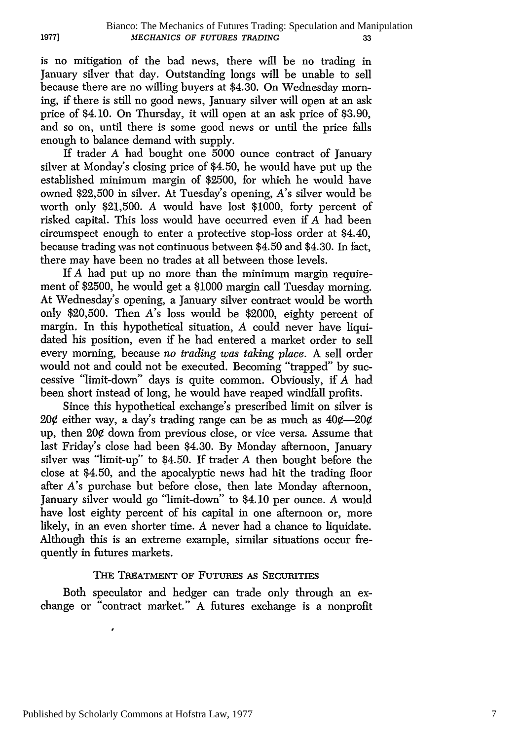is no mitigation of the bad news, there will be no trading in January silver that day. Outstanding longs will be unable to sell because there are no willing buyers at \$4.30. On Wednesday morning, if there is still no good news, January silver will open at an ask price of \$4.10. On Thursday, it will open at an ask price of \$3.90, and so on, until there is some good news or until the price falls enough to balance demand with supply.

**1977l**

If trader *A* had bought one 5000 ounce contract of January silver at Monday's closing price of \$4.50, he would have put up the established minimum margin of \$2500, for which he would have owned \$22,500 in silver. At Tuesday's opening, A's silver would be worth only \$21,500. *A* would have lost \$1000, forty percent of risked capital. This loss would have occurred even if *A* had been circumspect enough to enter a protective stop-loss order at \$4.40, because trading was not continuous between \$4.50 and \$4.30. In fact, there may have been no trades at all between those levels.

If *A* had put up no more than the minimum margin requirement of \$2500, he would get a \$1000 margin call Tuesday morning. At Wednesday's opening, a January silver contract would be worth only \$20,500. Then *A's* loss would be \$2000, eighty percent of margin. In this hypothetical situation, *A* could never have liquidated his position, even if he had entered a market order to sell every morning, because *no trading was taking place.* A sell order would not and could not be executed. Becoming "trapped" by successive "limit-down" days is quite common. Obviously, if *A* had been short instead of long, he would have reaped windfall profits.

Since this hypothetical exchange's prescribed limit on silver is 20¢ either way, a day's trading range can be as much as  $40¢ - 20¢$ up, then 20¢ down from previous close, or vice versa. Assume that last Friday's close had been \$4.30. By Monday afternoon, January silver was "limit-up" to \$4.50. If trader *A* then bought before the close at \$4.50, and the apocalyptic news had hit the trading floor after *A's* purchase but before close, then late Monday afternoon, January silver would go "limit-down" to \$4.10 per ounce. *A* would have lost eighty percent of his capital in one afternoon or, more likely, in an even shorter time. *A* never had a chance to liquidate. Although this is an extreme example, similar situations occur frequently in futures markets.

#### THE TREATMENT OF FUTURES AS **SECURITIES**

Both speculator and hedger can trade only through an exchange or "contract market." A futures exchange is a nonprofit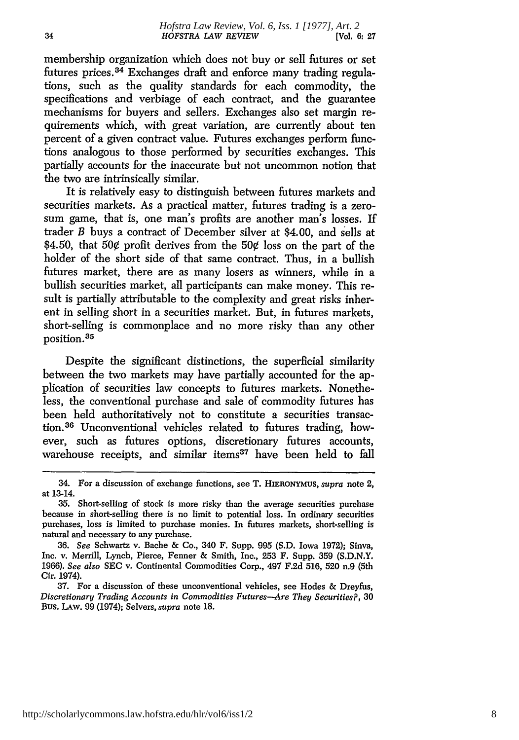membership organization which does not buy or sell futures or set futures prices.<sup>34</sup> Exchanges draft and enforce many trading regulations, such as the quality standards for each commodity, the specifications and verbiage of each contract, and the guarantee mechanisms for buyers and sellers. Exchanges also set margin requirements which, with great variation, are currently about ten percent of a given contract value. Futures exchanges perform functions analogous to those performed by securities exchanges. This partially accounts for the inaccurate but not uncommon notion that the two are intrinsically similar.

It is relatively easy to distinguish between futures markets and securities markets. As a practical matter, futures trading is a zerosum game, that is, one man's profits are another man's losses. If trader B buys a contract of December silver at \$4.00, and sells at \$4.50, that **50¢** profit derives from the 50¢ loss on the part of the holder of the short side of that same contract. Thus, in a bullish futures market, there are as many losers as winners, while in a bullish securities market, all participants can make money. This result is partially attributable to the complexity and great risks inherent in selling short in a securities market. But, in futures markets, short-selling is commonplace and no more risky than any other position.<sup>35</sup>

Despite the significant distinctions, the superficial similarity between the two markets may have partially accounted for the application of securities law concepts to futures markets. Nonetheless, the conventional purchase and sale of commodity futures has been held authoritatively not to constitute a securities transaction.<sup>36</sup> Unconventional vehicles related to futures trading, however, such as futures options, discretionary futures accounts, warehouse receipts, and similar items<sup>37</sup> have been held to fall

<sup>34.</sup> For a discussion of exchange functions, see T. HIERONYMUS, supra note 2, at 13-14.

<sup>35.</sup> Short-selling of stock is more risky than the average securities purchase because in short-selling there is no limit to potential loss. In ordinary securities purchases, loss is limited to purchase monies. In futures markets, short-selling is natural and necessary to any purchase.

<sup>36.</sup> *See* Schwartz v. Bache & Co., 340 F. Supp. 995 (S.D. Iowa 1972); Sinva, Inc. v. Merrill, Lynch, Pierce, Fenner & Smith, Inc., 253 F. Supp. 359 (S.D.N.Y. 1966). *See also* **SEC** v. Continental Commodities Corp., 497 F.2d 516, 520 n.9 (5th Cir. 1974).

<sup>37.</sup> For a discussion of these unconventional vehicles, see Hodes & Dreyfus, *Discretionary Trading Accounts in Commodities Futures-Are They Securities?,* **30** Bus. LAW. 99 (1974); Selvers, *supra* note 18.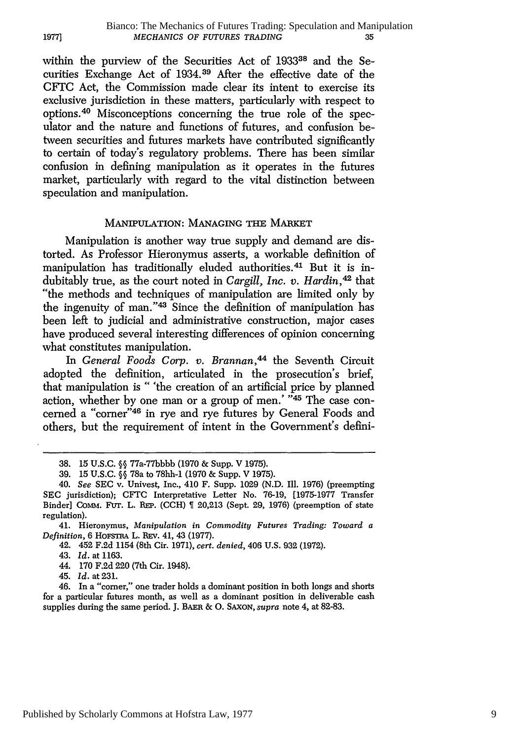within the purview of the Securities Act of **193338** and the Securities Exchange Act of 1934. 39 After the effective date of the CFTC Act, the Commission made clear its intent to exercise its exclusive jurisdiction in these matters, particularly with respect to options. 40 Misconceptions concerning the true role of the speculator and the nature and functions of futures, and confusion between securities and futures markets have contributed significantly to certain of today's regulatory problems. There has been similar confusion in defining manipulation as it operates in the futures market, particularly with regard to the vital distinction between speculation and manipulation.

#### **MANIPULATION: MANAGING THE** MARKET

Manipulation is another way true supply and demand are distorted. As Professor Hieronymus asserts, a workable definition of manipulation has traditionally eluded authorities. 41 But it is indubitably true, as the court noted in *Cargill, Inc. v. Hardin,42* that "the methods and techniques of manipulation are limited only by the ingenuity of man."43 Since the definition of manipulation has been left to judicial and administrative construction, major cases have produced several interesting differences of opinion concerning what constitutes manipulation.

In *General Foods Corp. v. Brannan,'4 <sup>4</sup>*the Seventh Circuit adopted the definition, articulated in the prosecution's brief, that manipulation is " 'the creation of an artificial price by planned action, whether by one man or a group of men.'  $445$  The case concerned a "corner"46 in rye and rye futures by General Foods and others, but the requirement of intent in the Government's defini-

39. 15 U.S.C. **§§** 78a to 78hh-1 (1970 & Supp. V 1975).

41. Hieronymus, *Manipulation in Commodity Futures Trading: Toward a Definition,* 6 HOFsTRA L. **REV.** 41, 43 (1977).

42. 452 F.2d 1154 (8th Cir. 1971), *cert. denied,* 406 U.S. 932 (1972).

- 44. 170 F.2d 220 (7th Cir. 1948).
- 45. *Id.* at 231.

19771

46. In a "comer," one trader holds a dominant position in both longs and shorts for a particular futures month, as well as a dominant position in deliverable cash supplies during the same period. J. BAER & **0.** SAXoN, *supra* note 4, at 82-83.

**<sup>38.</sup>** 15 U.S.C. **§§** 77a-77bbbb (1970 & Supp. V 1975).

<sup>40.</sup> *See* **SEC** v. Univest, Inc., 410 F. Supp. 1029 (N.D. Ill. 1976) (preempting SEC jurisdiction); CFTC Interpretative Letter No. 76-19, [1975-1977 Transfer Binder] COMM. FUT. L. REP. (CCH)  $\parallel$  20,213 (Sept. 29, 1976) (preemption of state regulation).

<sup>43.</sup> Id. at 1163.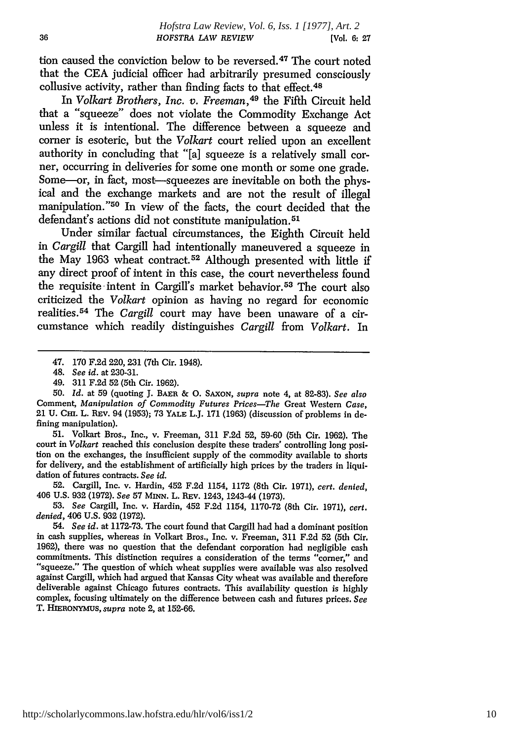tion caused the conviction below to be reversed. 47 The court noted that the CEA judicial officer had arbitrarily presumed consciously collusive activity, rather than finding facts to that effect.<sup>48</sup>

In *Volkart Brothers, Inc. v. Freeman*, <sup>49</sup> the Fifth Circuit held that a "squeeze" does not violate the Commodity Exchange Act unless it is intentional. The difference between a squeeze and corner is esoteric, but the *Volkart* court relied upon an excellent authority in concluding that "[a] squeeze is a relatively small corner, occurring in deliveries for some one month or some one grade. Some-or, in fact, most-squeezes are inevitable on both the physical and the exchange markets and are not the result of illegal manipulation."<sup>50</sup> In view of the facts, the court decided that the defendant's actions did not constitute manipulation. <sup>51</sup>

Under similar factual circumstances, the Eighth Circuit held in *Cargill* that Cargill had intentionally maneuvered a squeeze in the May 1963 wheat contract. 52 Although presented with little if any direct proof of intent in this case, the court nevertheless found the requisite intent in Cargill's market behavior.<sup>53</sup> The court also criticized the *Volkart* opinion as having no regard for economic realities. 54 The *Cargill* court may have been unaware of a circumstance which readily distinguishes *Cargill* from *Volkart.* In

49. 311 F.2d 52 (5th Cir. 1962).

51. Volkart Bros., Inc., v. Freeman, 311 F.2d 52, 59-60 (5th Cir. 1962). The court in *Volkart* reached this conclusion despite these traders' controlling long position on the exchanges, the insufficient supply of the commodity available to shorts for delivery, and the establishment of artificially high prices by the traders in liquidation of futures contracts. *See id.*

52. Cargill, Inc. v. Hardin, 452 F.2d 1154, 1172 (8th Cir. 1971), *cert. denied,* 406 U.S. 932 (1972). *See* 57 MINN. L. REv. 1243, 1243-44 (1973).

53. *See* Cargill, Inc. v. Hardin, 452 F.2d 1154, 1170-72 (8th Cir. 1971), *cert. denied,* 406 U.S. 932 (1972).

*54. See id.* at 1172-73. The court found that Cargill had had a dominant position in cash supplies, whereas in Volkart Bros., Inc. v. Freeman, 311 F.2d 52 (5th Cir. 1962), there was no question that the defendant corporation had negligible cash commitments. This distinction requires a consideration of the terms "corner," and "'squeeze." The question of which wheat supplies were available was also resolved against Cargill, which had argued that Kansas City wheat was available and therefore deliverable against Chicago futures contracts. This availability question is highly complex, focusing ultimately on the difference between cash and futures prices. *See* T. HIERONYMUS, *supra* note 2, at 152-66.

<sup>47.</sup> **170** F.2d 220, 231 (7th Cir. 1948).

<sup>48.</sup> *See id.* at 230-31.

<sup>50.</sup> *Id.* at 59 (quoting J. BAER & **0.** SAXON, *supra* note 4, at 82-83). *See also* Comment, *Manipulation of Commodity Futures Prices-The* Great Western *Case,* 21 **U.** Cmi. L. REV. 94 (1953); 73 YALE L.J. 171 (1963) (discussion of problems in defining manipulation).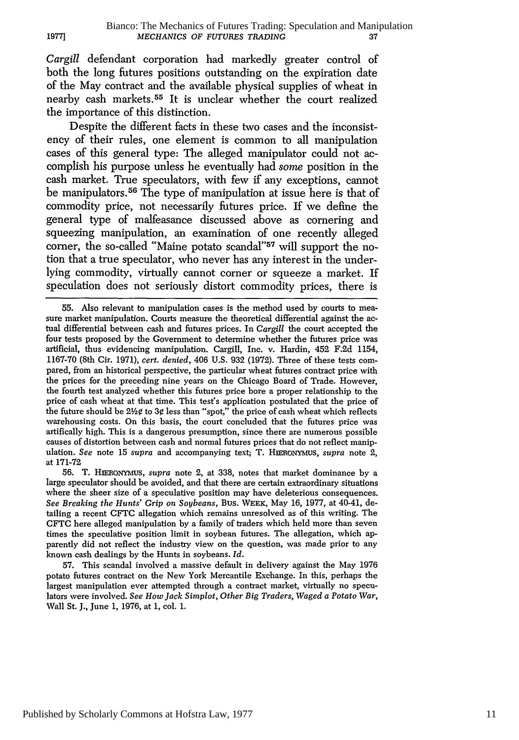*Cargill* defendant corporation had markedly greater control of both the long futures positions outstanding on the expiration date of the May contract and the available physical supplies of wheat in nearby cash markets. 55 It is unclear whether the court realized the importance of this distinction.

**1977]**

Despite the different facts in these two cases and the inconsistency of their rules, one element is common to all manipulation cases of this general type: The alleged manipulator could not accomplish his purpose unless he eventually had *some* position in the cash market. True speculators, with few if any exceptions, cannot be manipulators. 56 The type of manipulation at issue here is that of commodity price, not necessarily futures price. If we define the general type of malfeasance discussed above as cornering and squeezing manipulation, an examination of one recently alleged corner, the so-called "Maine potato scandal"<sup>57</sup> will support the notion that a true speculator, who never has any interest in the underlying commodity, virtually cannot corner or squeeze a market. If speculation does not seriously distort commodity prices, there is

56. T. HmERONYMUS, *supra* note 2, at 338, notes that market dominance by a large speculator should be avoided, and that there are certain extraordinary situations where the sheer size of a speculative position may have deleterious consequences. *See Breaking the Hunts' Grip on Soybeans,* Bus. WEEK, May 16, 1977, at 40-41, detailing a recent CFTC allegation which remains unresolved as of this writing. The CFTC here alleged manipulation by a family of traders which held more than seven times the speculative position limit in soybean futures. The allegation, which apparently did not reflect the industry view on the question, was made prior to any known cash dealings by the Hunts in soybeans. *Id.*

57. This scandal involved a massive default in delivery against the May 1976 potato futures contract on the New York Mercantile Exchange. In this, perhaps the largest manipulation ever attempted through a contract market, virtually no speculators were involved. *See How Jack Simplot, Other Big Traders, Waged a Potato War,* Wall St. J., June 1, 1976, at 1, col. 1.

Published by Scholarly Commons at Hofstra Law, 1977

<sup>55.</sup> Also relevant to manipulation cases is the method used **by** courts to measure market manipulation. Courts measure the theoretical differential against the actual differential between cash and futures prices. In *Cargill* the court accepted the four tests proposed by the Government to determine whether the futures price was artificial, thus evidencing manipulation. Cargill, Inc. v. Hardin, 452 F.2d 1154, 1167-70 (8th Cir. 1971), *cert. denied,* 406 U.S. 932 (1972). Three of these tests com- pared, from an historical perspective, the particular wheat futures contract price with the prices for the preceding nine years on the Chicago Board of Trade. However, the fourth test analyzed whether this futures price bore a proper relationship to the price of cash wheat at that time. This test's application postulated that the price of the future should be 22¢ to **3V** less than "spot," the price of cash wheat which reflects warehousing costs. On this basis, the court concluded that the futures price was artifically high. This is a dangerous presumption, since there are numerous possible causes of distortion between cash and normal futures prices that do not reflect manipulation. *See* note 15 *supra* and accompanying text, T. HiEONyMUS, *supra* note 2, at 171-72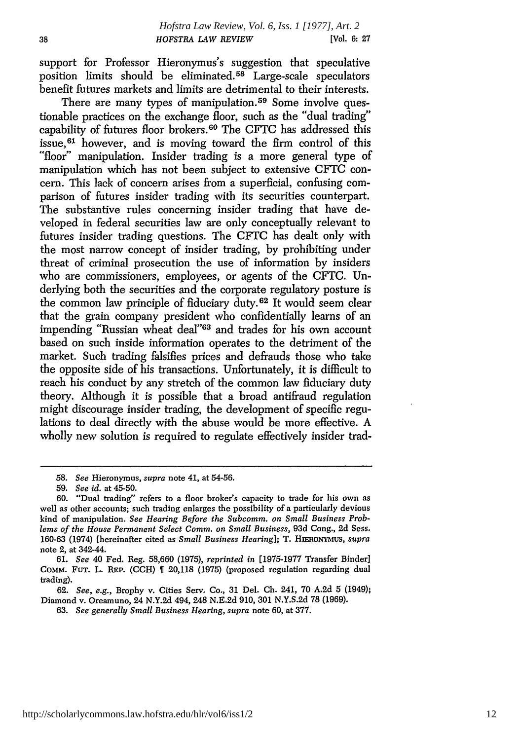support for Professor Hieronymus's suggestion that speculative position limits should be eliminated. 58 Large-scale speculators benefit futures markets and limits are detrimental to their interests.

There are many types of manipulation.<sup>59</sup> Some involve questionable practices on the exchange floor, such as the "dual trading" capability of futures floor brokers.<sup>60</sup> The CFTC has addressed this issue, 61 however, and is moving toward the firm control of this "floor" manipulation. Insider trading is a more general type of manipulation which has not been subject to extensive CFTC concern. This lack of concern arises from a superficial, confusing comparison of futures insider trading with its securities counterpart. The substantive rules concerning insider trading that have developed in federal securities law are only conceptually relevant to futures insider trading questions. The CFTC has dealt only with the most narrow concept of insider trading, by prohibiting under threat of criminal prosecution the use of information by insiders who are commissioners, employees, or agents of the CFTC. Underlying both the securities and the corporate regulatory posture is the common law principle of fiduciary duty. 62 It would seem clear that the grain company president who confidentially learns of an impending "Russian wheat deal"<sup>63</sup> and trades for his own account based on such inside information operates to the detriment of the market. Such trading falsifies prices and defrauds those who take the opposite side of his transactions. Unfortunately, it is difficult to reach his conduct by any stretch of the common law fiduciary duty theory. Although it is possible that a broad antifraud regulation might discourage insider trading, the development of specific regulations to deal directly with the abuse would be more effective. A wholly new solution is required to regulate effectively insider trad-

<sup>58.</sup> *See* Hieronymus, *supra* note 41, at 54-56.

<sup>59.</sup> *See id.* at 45-50.

<sup>60. &</sup>quot;Dual trading" refers to a floor broker's capacity to trade for his own as well as other accounts; such trading enlarges the possibility of a particularly devious kind of manipulation. *See Hearing Before the Subcomm. on Small Business Problems of the House Permanent Select Comm. on Small Business,* 93d Cong., **2d** Sess. 160-63 (1974) [hereinafter cited as *Small Business Hearing];* T. HnRoNYMUS, *supra* note 2, at 342-44.

<sup>61.</sup> *See* 40 Fed. Reg. 58,660 (1975), *reprinted in* [1975-1977 Transfer Binder] COMM. FUT. L. REP. (CCH) 20,118 (1975) (proposed regulation regarding dual trading).

<sup>62.</sup> *See, e.g., Brophy v. Cities Serv. Co., 31 Del. Ch. 241, 70 A.2d 5 (1949);* Diamond v. Oreamuno, 24 N.Y.2d 494, 248 N.E.2d 910, 301 N.Y.S.2d 78 (1969).

<sup>63.</sup> *See generally Small Business Hearing, supra* note 60, at 377.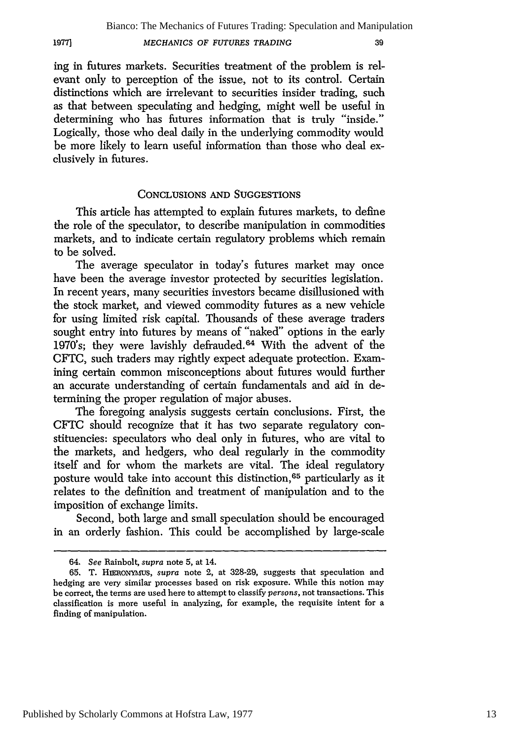#### *MECHANICS OF FUTURES TRADING*

1977]

39

ing in futures markets. Securities treatment of the problem is relevant only to perception of the issue, not to its control. Certain distinctions which are irrelevant to securities insider trading, such as that between speculating and hedging, might well be useful in determining who has futures information that is truly "inside." Logically, those who deal daily in the underlying commodity would be more likely to learn useful information than those who deal exclusively in futures.

#### **CONCLUSIONS AND SUGGESTIONS**

This article has attempted to explain futures markets, to define the role of the speculator, to describe manipulation in commodities markets, and to indicate certain regulatory problems which remain to be solved.

The average speculator in today's futures market may once have been the average investor protected by securities legislation. In recent years, many securities investors became disillusioned with the stock market, and viewed commodity futures as a new vehicle for using limited risk capital. Thousands of these average traders sought entry into futures by means of "naked" options **in** the early 1970's; they were lavishly defrauded.<sup>64</sup> With the advent of the CFTC, such traders may rightly expect adequate protection. Examining certain common misconceptions about futures would further an accurate understanding of certain fundamentals and aid **in** determining the proper regulation of major abuses.

The foregoing analysis suggests certain conclusions. First, the **CFTC** should recognize that it has two separate regulatory constituencies: speculators who deal only in futures, who are vital to the markets, and hedgers, who deal regularly **in** the commodity itself and for whom the markets are vital. The ideal regulatory posture would take into account this distinction, 65 particularly as it relates to the definition and treatment of manipulation and to the imposition of exchange limits.

Second, both large and small speculation should be encouraged in an orderly fashion. This could be accomplished by large-scale

<sup>64.</sup> *See* Rainbolt, supra note 5, at 14.

<sup>65.</sup> T. **HImloNym-us,** supra note 2, at 328-29, suggests that speculation and hedging are very similar processes based on risk exposure. While this notion may be correct, the terms are used here to attempt to classify *persons,* not transactions. This classification is more useful in analyzing, for example, the requisite intent for a finding of manipulation.